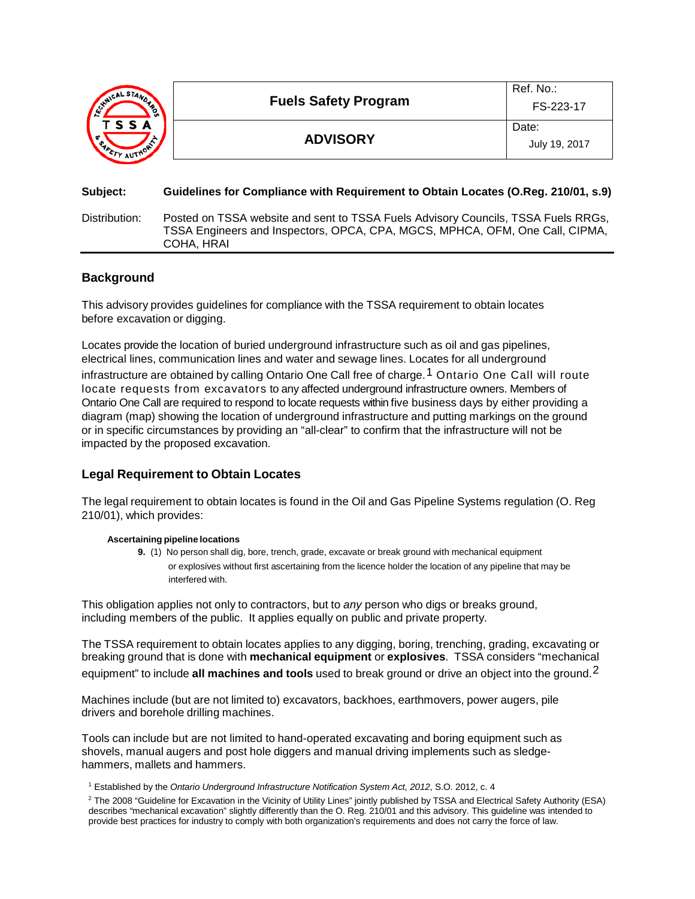| INICAL STAND<br>「SSA<br><b>AUTHOR</b> | <b>Fuels Safety Program</b> | Ref. No.:<br>FS-223-17 |
|---------------------------------------|-----------------------------|------------------------|
|                                       | <b>ADVISORY</b>             | Date:<br>July 19, 2017 |

### **Subject: Guidelines for Compliance with Requirement to Obtain Locates (O.Reg. 210/01, s.9)**

Distribution: Posted on TSSA website and sent to TSSA Fuels Advisory Councils, TSSA Fuels RRGs, TSSA Engineers and Inspectors, OPCA, CPA, MGCS, MPHCA, OFM, One Call, CIPMA, COHA, HRAI

### **Background**

This advisory provides guidelines for compliance with the TSSA requirement to obtain locates before excavation or digging.

Locates provide the location of buried underground infrastructure such as oil and gas pipelines, electrical lines, communication lines and water and sewage lines. Locates for all underground infrastructure are obtained by calling Ontario One Call free of charge.<sup>1</sup> Ontario One Call will route locate requests from excavators to any affected underground infrastructure owners. Members of Ontario One Call are required to respond to locate requests within five business days by either providing a diagram (map) showing the location of underground infrastructure and putting markings on the ground or in specific circumstances by providing an "all-clear" to confirm that the infrastructure will not be

impacted by the proposed excavation.

# **Legal Requirement to Obtain Locates**

The legal requirement to obtain locates is found in the Oil and Gas Pipeline Systems regulation (O. Reg 210/01), which provides:

### **Ascertaining pipeline locations**

**9.** (1) No person shall dig, bore, trench, grade, excavate or break ground with mechanical equipment or explosives without first ascertaining from the licence holder the location of any pipeline that may be interfered with.

This obligation applies not only to contractors, but to *any* person who digs or breaks ground, including members of the public. It applies equally on public and private property.

The TSSA requirement to obtain locates applies to any digging, boring, trenching, grading, excavating or breaking ground that is done with **mechanical equipment** or **explosives**. TSSA considers "mechanical equipment" to include **all machines and tools** used to break ground or drive an object into the ground.[2](#page-0-0)

Machines include (but are not limited to) excavators, backhoes, earthmovers, power augers, pile drivers and borehole drilling machines.

Tools can include but are not limited to hand-operated excavating and boring equipment such as shovels, manual augers and post hole diggers and manual driving implements such as sledgehammers, mallets and hammers.

<span id="page-0-0"></span><sup>1</sup> Established by the *Ontario Underground Infrastructure Notification System Act, 2012*, S.O. 2012, c. 4

<sup>2</sup> The 2008 "Guideline for Excavation in the Vicinity of Utility Lines" jointly published by TSSA and Electrical Safety Authority (ESA) describes "mechanical excavation" slightly differently than the O. Reg. 210/01 and this advisory. This guideline was intended to provide best practices for industry to comply with both organization's requirements and does not carry the force of law.